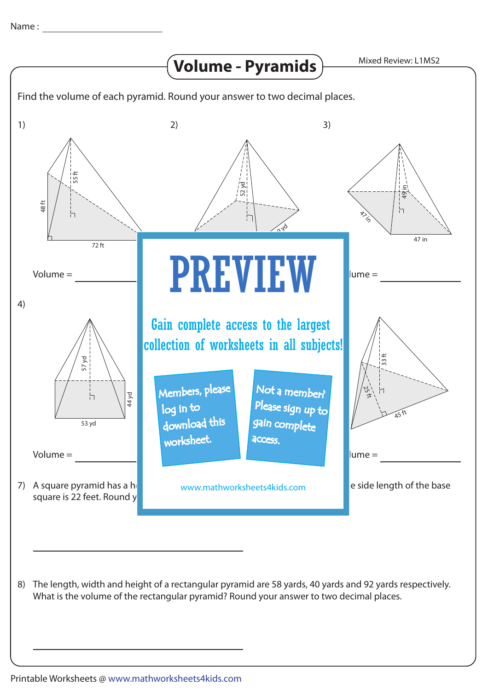